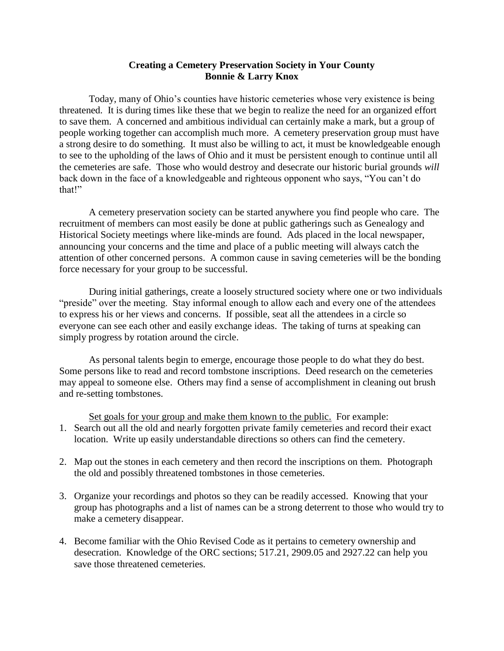## **Creating a Cemetery Preservation Society in Your County Bonnie & Larry Knox**

Today, many of Ohio's counties have historic cemeteries whose very existence is being threatened. It is during times like these that we begin to realize the need for an organized effort to save them. A concerned and ambitious individual can certainly make a mark, but a group of people working together can accomplish much more. A cemetery preservation group must have a strong desire to do something. It must also be willing to act, it must be knowledgeable enough to see to the upholding of the laws of Ohio and it must be persistent enough to continue until all the cemeteries are safe. Those who would destroy and desecrate our historic burial grounds *will* back down in the face of a knowledgeable and righteous opponent who says, "You can't do that!"

A cemetery preservation society can be started anywhere you find people who care. The recruitment of members can most easily be done at public gatherings such as Genealogy and Historical Society meetings where like-minds are found. Ads placed in the local newspaper, announcing your concerns and the time and place of a public meeting will always catch the attention of other concerned persons. A common cause in saving cemeteries will be the bonding force necessary for your group to be successful.

During initial gatherings, create a loosely structured society where one or two individuals "preside" over the meeting. Stay informal enough to allow each and every one of the attendees to express his or her views and concerns. If possible, seat all the attendees in a circle so everyone can see each other and easily exchange ideas. The taking of turns at speaking can simply progress by rotation around the circle.

As personal talents begin to emerge, encourage those people to do what they do best. Some persons like to read and record tombstone inscriptions. Deed research on the cemeteries may appeal to someone else. Others may find a sense of accomplishment in cleaning out brush and re-setting tombstones.

Set goals for your group and make them known to the public. For example:

- 1. Search out all the old and nearly forgotten private family cemeteries and record their exact location. Write up easily understandable directions so others can find the cemetery.
- 2. Map out the stones in each cemetery and then record the inscriptions on them. Photograph the old and possibly threatened tombstones in those cemeteries.
- 3. Organize your recordings and photos so they can be readily accessed. Knowing that your group has photographs and a list of names can be a strong deterrent to those who would try to make a cemetery disappear.
- 4. Become familiar with the Ohio Revised Code as it pertains to cemetery ownership and desecration. Knowledge of the ORC sections; 517.21, 2909.05 and 2927.22 can help you save those threatened cemeteries.